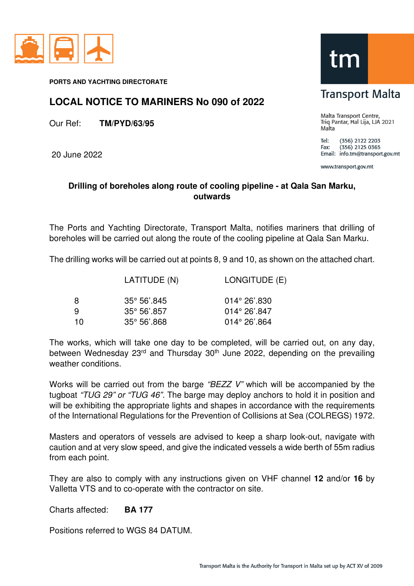

**PORTS AND YACHTING DIRECTORATE** 

## **LOCAL NOTICE TO MARINERS No 090 of 2022**

Our Ref: **TM/PYD/63/95**

20 June 2022



## **Transport Malta**

Malta Transport Centre, Triq Pantar, Hal Lija, LJA 2021 Malta

Tel: (356) 2122 2203  $(356)$  2125 0365 Fax: Email: info.tm@transport.gov.mt

www.transport.gov.mt

## **Drilling of boreholes along route of cooling pipeline - at Qala San Marku, outwards**

The Ports and Yachting Directorate, Transport Malta, notifies mariners that drilling of boreholes will be carried out along the route of the cooling pipeline at Qala San Marku.

The drilling works will be carried out at points 8, 9 and 10, as shown on the attached chart.

|    | LATITUDE (N)          | LONGITUDE (E)          |
|----|-----------------------|------------------------|
| 8  | $35^{\circ}$ 56'.845  | $014^{\circ} 26'.830$  |
| q  | $35^{\circ} 56'$ .857 | $014^{\circ} 26'$ .847 |
| 10 | $35^{\circ}$ 56'.868  | $014^{\circ} 26'$ .864 |

The works, which will take one day to be completed, will be carried out, on any day, between Wednesday  $23<sup>rd</sup>$  and Thursday  $30<sup>th</sup>$  June 2022, depending on the prevailing weather conditions.

Works will be carried out from the barge "BEZZ V" which will be accompanied by the tugboat "TUG 29" or "TUG 46". The barge may deploy anchors to hold it in position and will be exhibiting the appropriate lights and shapes in accordance with the requirements of the International Regulations for the Prevention of Collisions at Sea (COLREGS) 1972.

Masters and operators of vessels are advised to keep a sharp look-out, navigate with caution and at very slow speed, and give the indicated vessels a wide berth of 55m radius from each point.

They are also to comply with any instructions given on VHF channel **12** and/or **16** by Valletta VTS and to co-operate with the contractor on site.

Charts affected: **BA 177**

Positions referred to WGS 84 DATUM.